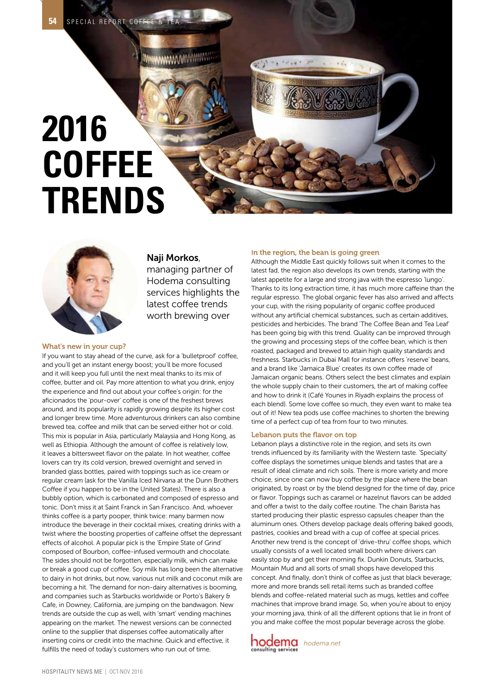# **2016 COFFEE TRENDS**



### Naji Morkos,

**MANA ANNOUNCERS** 

managing partner of Hodema consulting services highlights the latest coffee trends worth brewing over

#### What's new in your cup?

If you want to stay ahead of the curve, ask for a 'bulletproof' coffee, and you'll get an instant energy boost; you'll be more focused and it will keep you full until the next meal thanks to its mix of coffee, butter and oil. Pay more attention to what you drink, enjoy the experience and find out about your coffee's origin: for the aficionados the 'pour-over' coffee is one of the freshest brews around, and its popularity is rapidly growing despite its higher cost and longer brew time. More adventurous drinkers can also combine brewed tea, coffee and milk that can be served either hot or cold. This mix is popular in Asia, particularly Malaysia and Hong Kong, as well as Ethiopia. Although the amount of coffee is relatively low, it leaves a bittersweet flavor on the palate. In hot weather, coffee lovers can try its cold version, brewed overnight and served in branded glass bottles, paired with toppings such as ice cream or regular cream (ask for the Vanilla Iced Nirvana at the Dunn Brothers Coffee if you happen to be in the United States). There is also a bubbly option, which is carbonated and composed of espresso and tonic. Don't miss it at Saint Franck in San Francisco. And, whoever thinks coffee is a party pooper, think twice: many barmen now introduce the beverage in their cocktail mixes, creating drinks with a twist where the boosting properties of caffeine offset the depressant effects of alcohol. A popular pick is the 'Empire State of Grind' composed of Bourbon, coffee-infused vermouth and chocolate. The sides should not be forgotten, especially milk, which can make or break a good cup of coffee. Soy milk has long been the alternative to dairy in hot drinks, but now, various nut milk and coconut milk are becoming a hit. The demand for non-dairy alternatives is booming, and companies such as Starbucks worldwide or Porto's Bakery & Cafe, in Downey, California, are jumping on the bandwagon. New trends are outside the cup as well, with 'smart' vending machines appearing on the market. The newest versions can be connected online to the supplier that dispenses coffee automatically after inserting coins or credit into the machine. Quick and effective, it fulfills the need of today's customers who run out of time.

#### In the region, the bean is going green

Although the Middle East quickly follows suit when it comes to the latest fad, the region also develops its own trends, starting with the latest appetite for a large and strong java with the espresso 'lungo'. Thanks to its long extraction time, it has much more caffeine than the regular espresso. The global organic fever has also arrived and affects your cup, with the rising popularity of organic coffee produced without any artificial chemical substances, such as certain additives, pesticides and herbicides. The brand 'The Coffee Bean and Tea Leaf' has been going big with this trend. Quality can be improved through the growing and processing steps of the coffee bean, which is then roasted, packaged and brewed to attain high quality standards and freshness. Starbucks in Dubai Mall for instance offers 'reserve' beans, and a brand like 'Jamaica Blue' creates its own coffee made of Jamaican organic beans. Others select the best climates and explain the whole supply chain to their customers, the art of making coffee and how to drink it (Café Younes in Riyadh explains the process of each blend). Some love coffee so much, they even want to make tea out of it! New tea pods use coffee machines to shorten the brewing time of a perfect cup of tea from four to two minutes.

#### Lebanon puts the flavor on top

Lebanon plays a distinctive role in the region, and sets its own trends influenced by its familiarity with the Western taste. 'Specialty' coffee displays the sometimes unique blends and tastes that are a result of ideal climate and rich soils. There is more variety and more choice, since one can now buy coffee by the place where the bean originated, by roast or by the blend designed for the time of day, price or flavor. Toppings such as caramel or hazelnut flavors can be added and offer a twist to the daily coffee routine. The chain Barista has started producing their plastic espresso capsules cheaper than the aluminum ones. Others develop package deals offering baked goods, pastries, cookies and bread with a cup of coffee at special prices. Another new trend is the concept of 'drive-thru' coffee shops, which usually consists of a well located small booth where drivers can easily stop by and get their morning fix. Dunkin Donuts, Starbucks, Mountain Mud and all sorts of small shops have developed this concept. And finally, don't think of coffee as just that black beverage; more and more brands sell retail items such as branded coffee blends and coffee-related material such as mugs, kettles and coffee machines that improve brand image. So, when you're about to enjoy your morning java, think of all the different options that lie in front of you and make coffee the most popular beverage across the globe.

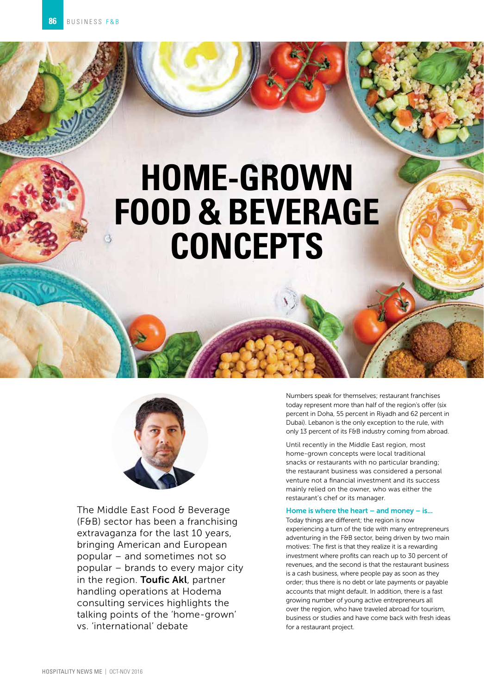## **HOME-GROWN FOOD & BEVERAGE CONCEPTS**



The Middle East Food & Beverage (F&B) sector has been a franchising extravaganza for the last 10 years, bringing American and European popular – and sometimes not so popular – brands to every major city in the region. Toufic Akl, partner handling operations at Hodema consulting services highlights the talking points of the 'home-grown' vs. 'international' debate

Numbers speak for themselves; restaurant franchises today represent more than half of the region's offer (six percent in Doha, 55 percent in Riyadh and 62 percent in Dubai). Lebanon is the only exception to the rule, with only 13 percent of its F&B industry coming from abroad.

Until recently in the Middle East region, most home-grown concepts were local traditional snacks or restaurants with no particular branding; the restaurant business was considered a personal venture not a financial investment and its success mainly relied on the owner, who was either the restaurant's chef or its manager.

#### Home is where the heart – and money – is...

Today things are different; the region is now experiencing a turn of the tide with many entrepreneurs adventuring in the F&B sector, being driven by two main motives: The first is that they realize it is a rewarding investment where profits can reach up to 30 percent of revenues, and the second is that the restaurant business is a cash business, where people pay as soon as they order; thus there is no debt or late payments or payable accounts that might default. In addition, there is a fast growing number of young active entrepreneurs all over the region, who have traveled abroad for tourism, business or studies and have come back with fresh ideas for a restaurant project.